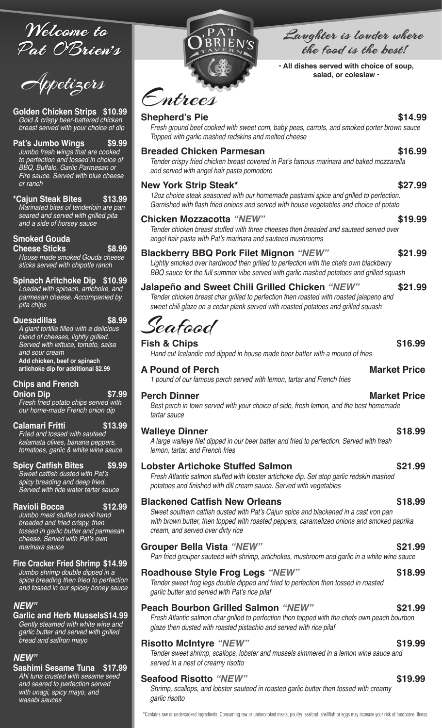Welcome to Pat O'Brien's

**Golden Chicken Strips \$10.99** *Gold & crispy beer-battered chicken breast served with your choice of dip*

**Pat's Jumbo Wings \$9.99** *Jumbo fresh wings that are cooked to perfection and tossed in choice of BBQ, Buffalo, Garlic Parmesan or Fire sauce. Served with blue cheese or ranch*

**\*Cajun Steak Bites \$13.99** *Marinated bites of tenderloin are pan seared and served with grilled pita and a side of horsey sauce* 

**Smoked Gouda** 

**Cheese Sticks \$8.99** *House made smoked Gouda cheese sticks served with chipotle ranch* 

**Spinach Aritchoke Dip \$10.99** *Loaded with spinach, artichoke, and parmesan cheese. Accompanied by pita chips* 

**Quesadillas \$8.99** A giant tortilla filled with a delicious *blend of cheeses, lightly grilled. Served with lettuce, tomato, salsa and sour cream* **Add chicken, beef or spinach artichoke dip for additional \$2.99**

**Chips and French** 

**Onion Dip \$7.99** *Fresh fried potato chips served with our home-made French onion dip*

**Calamari Fritti \$13.99** *Fried and tossed with sauteed kalamata olives, banana peppers, tomatoes, garlic & white wine sauce*

**Spicy Catfish Bites \$9.99** Sweet catfish dusted with Pat's *spicy breading and deep fried. Served with tide water tartar sauce*

**Ravioli Bocca \$12.99** *Jumbo meat stuffed ravioli hand breaded and fried crispy, then tossed in garlic butter and parmesan*  cheese. Served with Pat's own *marinara sauce*

### **Fire Cracker Fried Shrimp \$14.99**

*Jumbo shrimp double dipped in a spice breading then fried to perfection and tossed in our spicey honey sauce*

### *NEW"*

**Garlic and Herb Mussels\$14.99** *Gently steamed with white wine and garlic butter and served with grilled bread and saffron mayo*

### *NEW"*

**Sashimi Sesame Tuna \$17.99** *Ahi tuna crusted with sesame seed and seared to perfection served with unagi, spicy mayo, and wasabi sauces*



## Langhter is londer where the food is the best!

**• All dishes served with choice of soup,** 

# Entrees

### **Shepherd's Pie \$14.99**

*Fresh ground beef cooked with sweet corn, baby peas, carrots, and smoked porter brown sauce Topped with garlic mashed redskins and melted cheese* 

### **Breaded Chicken Parmesan \$16.99**

 Tender crispy fried chicken breast covered in Pat's famous marinara and baked mozzarella *and served with angel hair pasta pomodoro* 

### **New York Strip Steak\* \$27.99**

 12oz choice steak seasoned with our homemade pastrami spice and grilled to perfection. Garnished with flash fried onions and served with house vegetables and choice of potato

### **Chicken Mozzacotta** *"NEW"* **\$19.99**

*Tender chicken breast stuffed with three cheeses then breaded and sauteed served over*  angel hair pasta with Pat's marinara and sauteed mushrooms

### **Blackberry BBQ Pork Filet Mignon** *"NEW"* **\$21.99**

*Lightly smoked over hardwood then grilled to perfection with the chefs own blackberry BBQ sauce for the full summer vibe served with garlic mashed potatoes and grilled squash* 

### **Jalapeño and Sweet Chili Grilled Chicken** *"NEW"* **\$21.99**

*Tender chicken breast char grilled to perfection then roasted with roasted jalapeno and*  sweet chili glaze on a cedar plank served with roasted potatoes and grilled squash

Seafood

### **Fish & Chips \$16.99**

*Hand cut Icelandic cod dipped in house made beer batter with a mound of fries* 

### **A Pound of Perch Market Price**

*1 pound of our famous perch served with lemon, tartar and French fries* 

### **Perch Dinner Market Price Market Price**

*Best perch in town served with your choice of side, fresh lemon, and the best homemade tartar sauce* 

### **Walleye Dinner \$18.99**

 A large walleye filet dipped in our beer batter and fried to perfection. Served with fresh *lemon, tartar, and French fries* 

### **Lobster Artichoke Stuffed Salmon \$21.99**

*Fresh Atlantic salmon stuffed with lobster artichoke dip. Set atop garlic redskin mashed*  potatoes and finished with dill cream sauce. Served with vegetables

### **Blackened Catfish New Orleans \$18.99**

 Sweet southern catfish dusted with Pat's Cajun spice and blackened in a cast iron pan with brown butter, then topped with roasted peppers, caramelized onions and smoked paprika *cream, and served over dirty rice*

### **Grouper Bella Vista** *"NEW"* **\$21.99**

*Pan fried grouper sauteed with shrimp, artichokes, mushroom and garlic in a white wine sauce* 

### **Roadhouse Style Frog Legs** *"NEW"* **\$18.99**

*Tender sweet frog legs double dipped and fried to perfection then tossed in roasted*  garlic butter and served with Pat's rice pilaf

### **Peach Bourbon Grilled Salmon** *"NEW"* **\$21.99**

*Fresh Atlantic salmon char grilled to perfection then topped with the chefs own peach bourbon*  glaze then dusted with roasted pistachio and served with rice pilaf

### **Risotto McIntyre** *"NEW"* **\$19.99**

*Tender sweet shrimp, scallops, lobster and mussels simmered in a lemon wine sauce and served in a nest of creamy risotto* 

### **Seafood Risotto** *"NEW"* **\$19.99**

*Shrimp, scallops, and lobster sauteed in roasted garlic butter then tossed with creamy garlic risotto* 

\*Contains raw or undercooked ingredients. Consuming raw or undercooked meats, poultry, seafood, shellfish or eggs may increase your risk of foodborne illness.